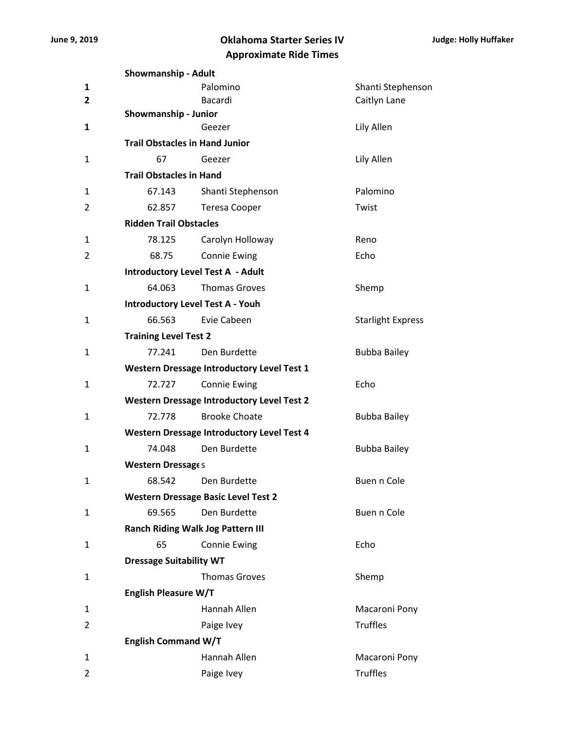## **June 9, 2019 Oklahoma Starter Series IV Approximate Ride Times**

|                | <b>Showmanship - Adult</b>              |                                                   |                          |  |  |  |
|----------------|-----------------------------------------|---------------------------------------------------|--------------------------|--|--|--|
| $\mathbf{1}$   |                                         | Palomino                                          | Shanti Stephenson        |  |  |  |
| $\mathbf{2}$   |                                         | Bacardi                                           | Caitlyn Lane             |  |  |  |
|                | Showmanship - Junior                    |                                                   |                          |  |  |  |
| 1              |                                         | Geezer                                            | Lily Allen               |  |  |  |
|                | <b>Trail Obstacles in Hand Junior</b>   |                                                   |                          |  |  |  |
| 1              | 67                                      | Geezer                                            | Lily Allen               |  |  |  |
|                | <b>Trail Obstacles in Hand</b>          |                                                   |                          |  |  |  |
| 1              | 67.143                                  | Shanti Stephenson                                 | Palomino                 |  |  |  |
| $\overline{2}$ | 62.857                                  | <b>Teresa Cooper</b>                              | Twist                    |  |  |  |
|                | <b>Ridden Trail Obstacles</b>           |                                                   |                          |  |  |  |
| 1              | 78.125                                  | Carolyn Holloway                                  | Reno                     |  |  |  |
| 2              | 68.75                                   | <b>Connie Ewing</b>                               | Echo                     |  |  |  |
|                |                                         | <b>Introductory Level Test A - Adult</b>          |                          |  |  |  |
| $\mathbf{1}$   | 64.063                                  | <b>Thomas Groves</b>                              | Shemp                    |  |  |  |
|                | <b>Introductory Level Test A - Youh</b> |                                                   |                          |  |  |  |
| 1              | 66.563                                  | Evie Cabeen                                       | <b>Starlight Express</b> |  |  |  |
|                | <b>Training Level Test 2</b>            |                                                   |                          |  |  |  |
| 1              | 77.241                                  | Den Burdette                                      | <b>Bubba Bailey</b>      |  |  |  |
|                |                                         | <b>Western Dressage Introductory Level Test 1</b> |                          |  |  |  |
| 1              | 72.727                                  | <b>Connie Ewing</b>                               | Echo                     |  |  |  |
|                |                                         | <b>Western Dressage Introductory Level Test 2</b> |                          |  |  |  |
| 1              | 72.778                                  | <b>Brooke Choate</b>                              | <b>Bubba Bailey</b>      |  |  |  |
|                |                                         | <b>Western Dressage Introductory Level Test 4</b> |                          |  |  |  |
| $\mathbf{1}$   | 74.048                                  | Den Burdette                                      | <b>Bubba Bailey</b>      |  |  |  |
|                | Western Dressages                       |                                                   |                          |  |  |  |
| 1              |                                         | 68.542 Den Burdette                               | Buen n Cole              |  |  |  |
|                |                                         | <b>Western Dressage Basic Level Test 2</b>        |                          |  |  |  |
| 1              | 69.565                                  | Den Burdette                                      | Buen n Cole              |  |  |  |
|                |                                         | <b>Ranch Riding Walk Jog Pattern III</b>          |                          |  |  |  |
| 1              | 65                                      | <b>Connie Ewing</b>                               | Echo                     |  |  |  |
|                | <b>Dressage Suitability WT</b>          |                                                   |                          |  |  |  |
| $\mathbf{1}$   |                                         | <b>Thomas Groves</b>                              | Shemp                    |  |  |  |
|                | <b>English Pleasure W/T</b>             |                                                   |                          |  |  |  |
| 1              |                                         | Hannah Allen                                      | Macaroni Pony            |  |  |  |
| 2              |                                         | Paige Ivey                                        | <b>Truffles</b>          |  |  |  |
|                | <b>English Command W/T</b>              |                                                   |                          |  |  |  |
| 1              |                                         | Hannah Allen                                      | Macaroni Pony            |  |  |  |
| 2              |                                         | Paige Ivey                                        | <b>Truffles</b>          |  |  |  |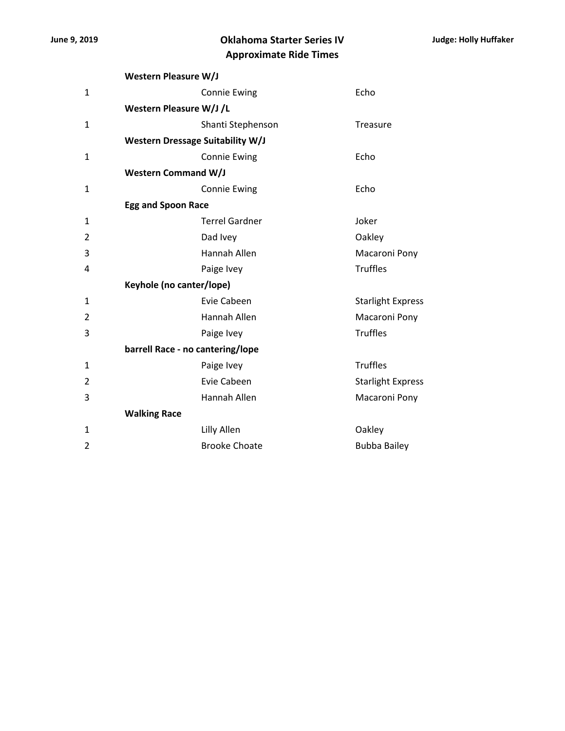## **June 9, 2019 Oklahoma Starter Series IV Approximate Ride Times**

|                | <b>Western Pleasure W/J</b>             |                       |                          |  |  |  |
|----------------|-----------------------------------------|-----------------------|--------------------------|--|--|--|
| 1              |                                         | <b>Connie Ewing</b>   | Echo                     |  |  |  |
|                | Western Pleasure W/J /L                 |                       |                          |  |  |  |
| 1              |                                         | Shanti Stephenson     | Treasure                 |  |  |  |
|                | <b>Western Dressage Suitability W/J</b> |                       |                          |  |  |  |
| 1              |                                         | <b>Connie Ewing</b>   | Echo                     |  |  |  |
|                | <b>Western Command W/J</b>              |                       |                          |  |  |  |
| 1              |                                         | <b>Connie Ewing</b>   | Echo                     |  |  |  |
|                | <b>Egg and Spoon Race</b>               |                       |                          |  |  |  |
| 1              |                                         | <b>Terrel Gardner</b> | Joker                    |  |  |  |
| $\overline{2}$ |                                         | Dad Ivey              | Oakley                   |  |  |  |
| 3              |                                         | <b>Hannah Allen</b>   | Macaroni Pony            |  |  |  |
| 4              |                                         | Paige Ivey            | <b>Truffles</b>          |  |  |  |
|                | Keyhole (no canter/lope)                |                       |                          |  |  |  |
| 1              |                                         | Evie Cabeen           | <b>Starlight Express</b> |  |  |  |
| $\overline{2}$ |                                         | Hannah Allen          | Macaroni Pony            |  |  |  |
| 3              |                                         | Paige Ivey            | <b>Truffles</b>          |  |  |  |
|                | barrell Race - no cantering/lope        |                       |                          |  |  |  |
| 1              |                                         | Paige Ivey            | <b>Truffles</b>          |  |  |  |
| $\overline{2}$ |                                         | Evie Cabeen           | <b>Starlight Express</b> |  |  |  |
| 3              |                                         | Hannah Allen          | Macaroni Pony            |  |  |  |
|                | <b>Walking Race</b>                     |                       |                          |  |  |  |
| $\mathbf{1}$   |                                         | Lilly Allen           | Oakley                   |  |  |  |
| 2              |                                         | <b>Brooke Choate</b>  | <b>Bubba Bailey</b>      |  |  |  |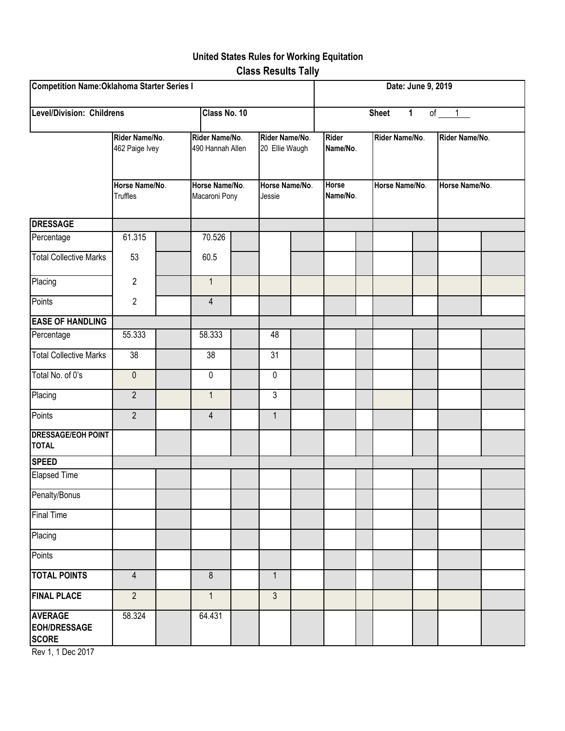# **United States Rules for Working Equitation Class Results Tally**

| <b>Competition Name: Oklahoma Starter Series I</b>    |                                                                       |  |                                                                        |                                 |                |                          |  | Date: June 9, 2019                     |                |                |                |  |  |  |
|-------------------------------------------------------|-----------------------------------------------------------------------|--|------------------------------------------------------------------------|---------------------------------|----------------|--------------------------|--|----------------------------------------|----------------|----------------|----------------|--|--|--|
| <b>Level/Division: Childrens</b><br>Class No. 10      |                                                                       |  |                                                                        |                                 |                |                          |  | $\mathbf{1}$<br>of $1$<br><b>Sheet</b> |                |                |                |  |  |  |
|                                                       | Rider Name/No.<br>462 Paige Ivey<br>Horse Name/No.<br><b>Truffles</b> |  | Rider Name/No.<br>Rider Name/No.<br>490 Hannah Allen<br>20 Ellie Waugh |                                 |                | <b>Rider</b><br>Name/No. |  | Rider Name/No.                         |                | Rider Name/No. |                |  |  |  |
|                                                       |                                                                       |  |                                                                        | Horse Name/No.<br>Macaroni Pony |                | Horse Name/No.<br>Jessie |  | Name/No.                               | Horse Name/No. |                | Horse Name/No. |  |  |  |
| <b>DRESSAGE</b>                                       |                                                                       |  |                                                                        |                                 |                |                          |  |                                        |                |                |                |  |  |  |
| Percentage                                            | 61.315                                                                |  | 70.526                                                                 |                                 |                |                          |  |                                        |                |                |                |  |  |  |
| <b>Total Collective Marks</b>                         | 53                                                                    |  | 60.5                                                                   |                                 |                |                          |  |                                        |                |                |                |  |  |  |
| Placing                                               | $\mathbf{2}$                                                          |  | $\mathbf{1}$                                                           |                                 |                |                          |  |                                        |                |                |                |  |  |  |
| Points                                                | $\overline{2}$                                                        |  | 4                                                                      |                                 |                |                          |  |                                        |                |                |                |  |  |  |
| <b>EASE OF HANDLING</b>                               |                                                                       |  |                                                                        |                                 |                |                          |  |                                        |                |                |                |  |  |  |
| Percentage                                            | 55.333                                                                |  | 58.333                                                                 |                                 | 48             |                          |  |                                        |                |                |                |  |  |  |
| <b>Total Collective Marks</b>                         | $\overline{38}$                                                       |  | 38                                                                     |                                 | 31             |                          |  |                                        |                |                |                |  |  |  |
| Total No. of 0's                                      | $\mathbf 0$                                                           |  | 0                                                                      |                                 | $\pmb{0}$      |                          |  |                                        |                |                |                |  |  |  |
| Placing                                               | $\overline{2}$                                                        |  | $\mathbf{1}$                                                           |                                 | $\mathfrak{S}$ |                          |  |                                        |                |                |                |  |  |  |
| Points                                                | $\overline{2}$                                                        |  | $\overline{4}$                                                         |                                 | $\mathbf{1}$   |                          |  |                                        |                |                |                |  |  |  |
| <b>DRESSAGE/EOH POINT</b><br><b>TOTAL</b>             |                                                                       |  |                                                                        |                                 |                |                          |  |                                        |                |                |                |  |  |  |
| <b>SPEED</b>                                          |                                                                       |  |                                                                        |                                 |                |                          |  |                                        |                |                |                |  |  |  |
| <b>Elapsed Time</b>                                   |                                                                       |  |                                                                        |                                 |                |                          |  |                                        |                |                |                |  |  |  |
| Penalty/Bonus                                         |                                                                       |  |                                                                        |                                 |                |                          |  |                                        |                |                |                |  |  |  |
| <b>Final Time</b>                                     |                                                                       |  |                                                                        |                                 |                |                          |  |                                        |                |                |                |  |  |  |
| Placing                                               |                                                                       |  |                                                                        |                                 |                |                          |  |                                        |                |                |                |  |  |  |
| Points                                                |                                                                       |  |                                                                        |                                 |                |                          |  |                                        |                |                |                |  |  |  |
| <b>TOTAL POINTS</b>                                   | $\overline{4}$                                                        |  | $\boldsymbol{8}$                                                       |                                 | $\mathbf{1}$   |                          |  |                                        |                |                |                |  |  |  |
| <b>FINAL PLACE</b>                                    | $\overline{2}$                                                        |  | $\mathbf{1}$                                                           |                                 | $\mathfrak{Z}$ |                          |  |                                        |                |                |                |  |  |  |
| <b>AVERAGE</b><br><b>EOH/DRESSAGE</b><br><b>SCORE</b> | 58.324                                                                |  | 64.431                                                                 |                                 |                |                          |  |                                        |                |                |                |  |  |  |

Rev 1, 1 Dec 2017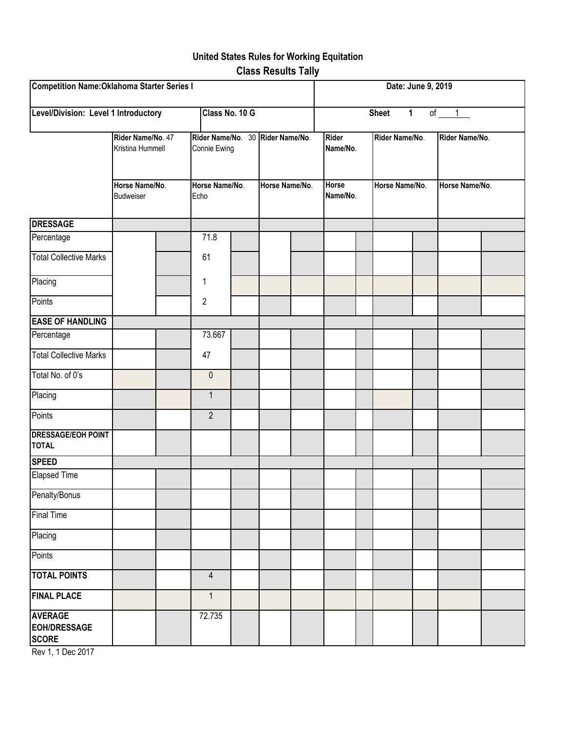# **United States Rules for Working Equitation Class Results Tally**

| <b>Competition Name: Oklahoma Starter Series I</b>    |                                       |                                       |                                                  |  |                |  |                          | Date: June 9, 2019 |                |  |                |  |  |  |
|-------------------------------------------------------|---------------------------------------|---------------------------------------|--------------------------------------------------|--|----------------|--|--------------------------|--------------------|----------------|--|----------------|--|--|--|
| Level/Division: Level 1 Introductory                  |                                       | of $1$<br><b>Sheet</b><br>$\mathbf 1$ |                                                  |  |                |  |                          |                    |                |  |                |  |  |  |
|                                                       | Rider Name/No. 47<br>Kristina Hummell |                                       | Rider Name/No. 30 Rider Name/No.<br>Connie Ewing |  |                |  | <b>Rider</b><br>Name/No. |                    | Rider Name/No. |  | Rider Name/No. |  |  |  |
|                                                       | Horse Name/No.<br>Budweiser           |                                       | Horse Name/No.<br>Echo                           |  | Horse Name/No. |  | <b>Horse</b><br>Name/No. |                    | Horse Name/No. |  | Horse Name/No. |  |  |  |
| <b>DRESSAGE</b>                                       |                                       |                                       |                                                  |  |                |  |                          |                    |                |  |                |  |  |  |
| Percentage                                            |                                       |                                       | 71.8                                             |  |                |  |                          |                    |                |  |                |  |  |  |
| <b>Total Collective Marks</b>                         |                                       |                                       | 61                                               |  |                |  |                          |                    |                |  |                |  |  |  |
| Placing                                               |                                       |                                       | 1                                                |  |                |  |                          |                    |                |  |                |  |  |  |
| Points                                                |                                       |                                       | $\sqrt{2}$                                       |  |                |  |                          |                    |                |  |                |  |  |  |
| <b>EASE OF HANDLING</b>                               |                                       |                                       |                                                  |  |                |  |                          |                    |                |  |                |  |  |  |
| Percentage                                            |                                       |                                       | 73.667                                           |  |                |  |                          |                    |                |  |                |  |  |  |
| <b>Total Collective Marks</b>                         |                                       |                                       | 47                                               |  |                |  |                          |                    |                |  |                |  |  |  |
| Total No. of 0's                                      |                                       |                                       | $\pmb{0}$                                        |  |                |  |                          |                    |                |  |                |  |  |  |
| Placing                                               |                                       |                                       | $\mathbf{1}$                                     |  |                |  |                          |                    |                |  |                |  |  |  |
| Points                                                |                                       |                                       | $\overline{2}$                                   |  |                |  |                          |                    |                |  |                |  |  |  |
| <b>DRESSAGE/EOH POINT</b><br><b>TOTAL</b>             |                                       |                                       |                                                  |  |                |  |                          |                    |                |  |                |  |  |  |
| <b>SPEED</b>                                          |                                       |                                       |                                                  |  |                |  |                          |                    |                |  |                |  |  |  |
| Elapsed Time                                          |                                       |                                       |                                                  |  |                |  |                          |                    |                |  |                |  |  |  |
| Penalty/Bonus                                         |                                       |                                       |                                                  |  |                |  |                          |                    |                |  |                |  |  |  |
| <b>Final Time</b>                                     |                                       |                                       |                                                  |  |                |  |                          |                    |                |  |                |  |  |  |
| Placing                                               |                                       |                                       |                                                  |  |                |  |                          |                    |                |  |                |  |  |  |
| Points                                                |                                       |                                       |                                                  |  |                |  |                          |                    |                |  |                |  |  |  |
| <b>TOTAL POINTS</b>                                   |                                       |                                       | $\overline{4}$                                   |  |                |  |                          |                    |                |  |                |  |  |  |
| <b>FINAL PLACE</b>                                    |                                       |                                       | $\mathbf{1}$                                     |  |                |  |                          |                    |                |  |                |  |  |  |
| <b>AVERAGE</b><br><b>EOH/DRESSAGE</b><br><b>SCORE</b> |                                       |                                       | 72.735                                           |  |                |  |                          |                    |                |  |                |  |  |  |

Rev 1, 1 Dec 2017